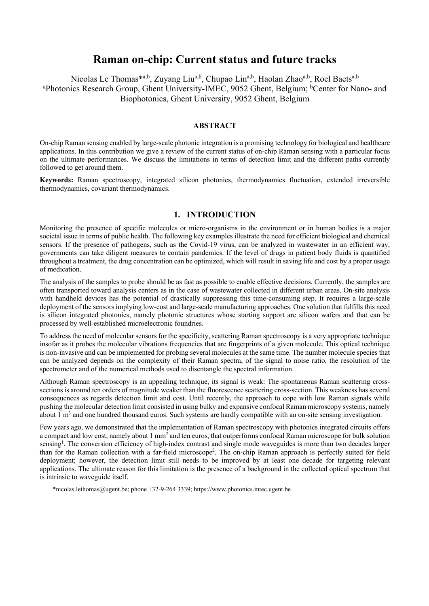# **Raman on-chip: Current status and future tracks**

Nicolas Le Thomas<sup>\*a,b</sup>, Zuyang Liu<sup>a,b</sup>, Chupao Lin<sup>a,b</sup>, Haolan Zhao<sup>a,b</sup>, Roel Baets<sup>a,b</sup> <sup>a</sup>Photonics Research Group, Ghent University-IMEC, 9052 Ghent, Belgium; <sup>b</sup>Center for Nano- and Biophotonics, Ghent University, 9052 Ghent, Belgium

## **ABSTRACT**

On-chip Raman sensing enabled by large-scale photonic integration is a promising technology for biological and healthcare applications. In this contribution we give a review of the current status of on-chip Raman sensing with a particular focus on the ultimate performances. We discuss the limitations in terms of detection limit and the different paths currently followed to get around them.

**Keywords:** Raman spectroscopy, integrated silicon photonics, thermodynamics fluctuation, extended irreversible thermodynamics, covariant thermodynamics.

## **1. INTRODUCTION**

Monitoring the presence of specific molecules or micro-organisms in the environment or in human bodies is a major societal issue in terms of public health. The following key examples illustrate the need for efficient biological and chemical sensors. If the presence of pathogens, such as the Covid-19 virus, can be analyzed in wastewater in an efficient way, governments can take diligent measures to contain pandemics. If the level of drugs in patient body fluids is quantified throughout a treatment, the drug concentration can be optimized, which will result in saving life and cost by a proper usage of medication.

The analysis of the samples to probe should be as fast as possible to enable effective decisions. Currently, the samples are often transported toward analysis centers as in the case of wastewater collected in different urban areas. On-site analysis with handheld devices has the potential of drastically suppressing this time-consuming step. It requires a large-scale deployment of the sensors implying low-cost and large-scale manufacturing approaches. One solution that fulfills this need is silicon integrated photonics, namely photonic structures whose starting support are silicon wafers and that can be processed by well-established microelectronic foundries.

To address the need of molecular sensors for the specificity, scattering Raman spectroscopy is a very appropriate technique insofar as it probes the molecular vibrations frequencies that are fingerprints of a given molecule. This optical technique is non-invasive and can be implemented for probing several molecules at the same time. The number molecule species that can be analyzed depends on the complexity of their Raman spectra, of the signal to noise ratio, the resolution of the spectrometer and of the numerical methods used to disentangle the spectral information.

Although Raman spectroscopy is an appealing technique, its signal is weak: The spontaneous Raman scattering crosssections is around ten orders of magnitude weaker than the fluorescence scattering cross-section. This weakness has several consequences as regards detection limit and cost. Until recently, the approach to cope with low Raman signals while pushing the molecular detection limit consisted in using bulky and expansive confocal Raman microscopy systems, namely about  $1 \text{ m}^3$  and one hundred thousand euros. Such systems are hardly compatible with an on-site sensing investigation.

Few years ago, we demonstrated that the implementation of Raman spectroscopy with photonics integrated circuits offers a compact and low cost, namely about 1 mm2 and ten euros, that outperforms confocal Raman microscope for bulk solution sensing<sup>1</sup>. The conversion efficiency of high-index contrast and single mode waveguides is more than two decades larger than for the Raman collection with a far-field microscope<sup>2</sup>. The on-chip Raman approach is perfectly suited for field deployment; however, the detection limit still needs to be improved by at least one decade for targeting relevant applications. The ultimate reason for this limitation is the presence of a background in the collected optical spectrum that is intrinsic to waveguide itself.

\*nicolas.lethomas@ugent.be; phone +32-9-264 3339; https://www.photonics.intec.ugent.be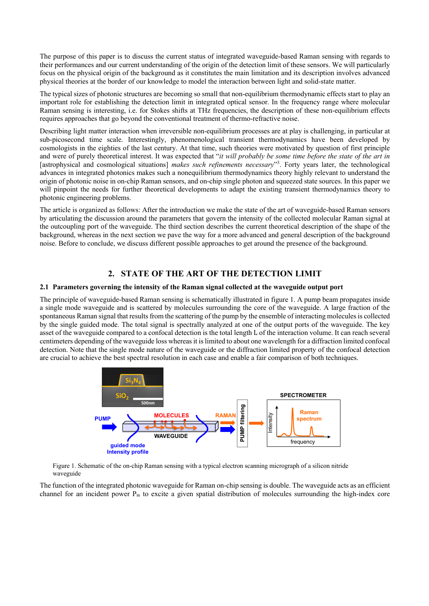The purpose of this paper is to discuss the current status of integrated waveguide-based Raman sensing with regards to their performances and our current understanding of the origin of the detection limit of these sensors. We will particularly focus on the physical origin of the background as it constitutes the main limitation and its description involves advanced physical theories at the border of our knowledge to model the interaction between light and solid-state matter.

The typical sizes of photonic structures are becoming so small that non-equilibrium thermodynamic effects start to play an important role for establishing the detection limit in integrated optical sensor. In the frequency range where molecular Raman sensing is interesting, i.e. for Stokes shifts at THz frequencies, the description of these non-equilibrium effects requires approaches that go beyond the conventional treatment of thermo-refractive noise.

Describing light matter interaction when irreversible non-equilibrium processes are at play is challenging, in particular at sub-picosecond time scale. Interestingly, phenomenological transient thermodynamics have been developed by cosmologists in the eighties of the last century. At that time, such theories were motivated by question of first principle and were of purely theoretical interest. It was expected that "*it will probably be some time before the state of the art in* [astrophysical and cosmological situations] *makes such refinements necessary*"3 . Forty years later, the technological advances in integrated photonics makes such a nonequilibrium thermodynamics theory highly relevant to understand the origin of photonic noise in on-chip Raman sensors, and on-chip single photon and squeezed state sources. In this paper we will pinpoint the needs for further theoretical developments to adapt the existing transient thermodynamics theory to photonic engineering problems.

The article is organized as follows: After the introduction we make the state of the art of waveguide-based Raman sensors by articulating the discussion around the parameters that govern the intensity of the collected molecular Raman signal at the outcoupling port of the waveguide. The third section describes the current theoretical description of the shape of the background, whereas in the next section we pave the way for a more advanced and general description of the background noise. Before to conclude, we discuss different possible approaches to get around the presence of the background.

## **2. STATE OF THE ART OF THE DETECTION LIMIT**

### **2.1 Parameters governing the intensity of the Raman signal collected at the waveguide output port**

The principle of waveguide-based Raman sensing is schematically illustrated in figure 1. A pump beam propagates inside a single mode waveguide and is scattered by molecules surrounding the core of the waveguide. A large fraction of the spontaneous Raman signal that results from the scattering of the pump by the ensemble of interacting molecules is collected by the single guided mode. The total signal is spectrally analyzed at one of the output ports of the waveguide. The key asset of the waveguide compared to a confocal detection is the total length L of the interaction volume. It can reach several centimeters depending of the waveguide loss whereas it is limited to about one wavelength for a diffraction limited confocal detection. Note that the single mode nature of the waveguide or the diffraction limited property of the confocal detection are crucial to achieve the best spectral resolution in each case and enable a fair comparison of both techniques.



Figure 1. Schematic of the on-chip Raman sensing with a typical electron scanning micrograph of a silicon nitride waveguide

The function of the integrated photonic waveguide for Raman on-chip sensing is double. The waveguide acts as an efficient channel for an incident power Pin to excite a given spatial distribution of molecules surrounding the high-index core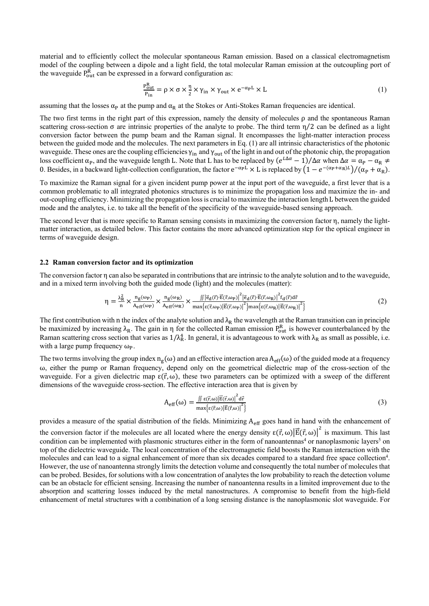material and to efficiently collect the molecular spontaneous Raman emission. Based on a classical electromagnetism model of the coupling between a dipole and a light field, the total molecular Raman emission at the outcoupling port of the waveguide  $P_{out}^{R}$  can be expressed in a forward configuration as:

$$
\frac{P_{out}^{R}}{P_{in}} = \rho \times \sigma \times \frac{\eta}{2} \times \gamma_{in} \times \gamma_{out} \times e^{-\alpha p L} \times L
$$
\n(1)

assuming that the losses  $\alpha_p$  at the pump and  $\alpha_R$  at the Stokes or Anti-Stokes Raman frequencies are identical.

The two first terms in the right part of this expression, namely the density of molecules  $\rho$  and the spontaneous Raman scattering cross-section  $\sigma$  are intrinsic properties of the analyte to probe. The third term  $\eta/2$  can be defined as a light conversion factor between the pump beam and the Raman signal. It encompasses the light-matter interaction process between the guided mode and the molecules. The next parameters in Eq. (1) are all intrinsic characteristics of the photonic waveguide. These ones are the coupling efficiencies  $\gamma_{in}$  and  $\gamma_{out}$  of the light in and out of the photonic chip, the propagation loss coefficient  $\alpha_p$ , and the waveguide length L. Note that L has to be replaced by  $(e^{L\Delta\alpha}-1)/\Delta\alpha$  when  $\Delta\alpha = \alpha_p - \alpha_R \neq 0$ 0. Besides, in a backward light-collection configuration, the factor  $e^{-\alpha_P L} \times L$  is replaced by  $(1 - e^{-(\alpha_P + \alpha_R)L})/(\alpha_P + \alpha_R)$ .

To maximize the Raman signal for a given incident pump power at the input port of the waveguide, a first lever that is a common problematic to all integrated photonics structures is to minimize the propagation loss and maximize the in- and out-coupling efficiency. Minimizing the propagation lossis crucial to maximize the interaction length L between the guided mode and the analytes, i.e. to take all the benefit of the specificity of the waveguide-based sensing approach.

The second lever that is more specific to Raman sensing consists in maximizing the conversion factor η, namely the lightmatter interaction, as detailed below. This factor contains the more advanced optimization step for the optical engineer in terms of waveguide design.

### **2.2 Raman conversion factor and its optimization**

The conversion factor η can also be separated in contributions that are intrinsic to the analyte solution and to the waveguide, and in a mixed term involving both the guided mode (light) and the molecules (matter):

$$
\eta = \frac{\lambda_{R}^{2}}{n} \times \frac{n_{g}(\omega_{P})}{A_{eff}(\omega_{P})} \times \frac{n_{g}(\omega_{R})}{A_{eff}(\omega_{R})} \times \frac{\iint |\vec{e}_{d}(\vec{r}) \cdot \vec{E}(\vec{r}, \omega_{P})|^{2} |\vec{e}_{d}(\vec{r}) \cdot \vec{E}(\vec{r}, \omega_{R})|^{2} f_{d}(\vec{r}) d\vec{r}}{\max\{\varepsilon(\vec{r}, \omega_{P})|\vec{E}(\vec{r}, \omega_{P})|\vec{E}(\vec{r}, \omega_{R})|\vec{E}(\vec{r}, \omega_{R})|\vec{E}(\vec{r}, \omega_{R})|\vec{r}}\}
$$
(2)

The first contribution with n the index of the analyte solution and  $\lambda_R$  the wavelength at the Raman transition can in principle be maximized by increasing  $\lambda_R$ . The gain in  $\eta$  for the collected Raman emission  $P_{out}^R$  is however counterbalanced by the Raman scattering cross section that varies as  $1/\lambda_R^4$ . In general, it is advantageous to work with  $\lambda_R$  as small as possible, i.e. with a large pump frequency  $\omega_{\rm p}$ .

The two terms involving the group index  $n_g(\omega)$  and an effective interaction area  $A_{eff}(\omega)$  of the guided mode at a frequency ω, either the pump or Raman frequency, depend only on the geometrical dielectric map of the cross-section of the waveguide. For a given dielectric map  $\varepsilon(\vec{r}, \omega)$ , these two parameters can be optimized with a sweep of the different dimensions of the waveguide cross-section. The effective interaction area that is given by

$$
A_{eff}(\omega) = \frac{\iint \varepsilon(\vec{r}, \omega) |\vec{E}(\vec{r}, \omega)|^2 d\vec{r}}{\max\{\varepsilon(\vec{r}, \omega) |\vec{E}(\vec{r}, \omega)|^2\}}
$$
(3)

provides a measure of the spatial distribution of the fields. Minimizing  $A_{\text{eff}}$  goes hand in hand with the enhancement of

the conversion factor if the molecules are all located where the energy density  $\epsilon(\vec{r}, \omega)|\vec{E}(\vec{r}, \omega)|^2$  is maximum. This last condition can be implemented with plasmonic structures either in the form of nanoantennas<sup>4</sup> or nanoplasmonic layers<sup>5</sup> on top of the dielectric waveguide. The local concentration of the electromagnetic field boosts the Raman interaction with the molecules and can lead to a signal enhancement of more than six decades compared to a standard free space collection<sup>4</sup>. However, the use of nanoantenna strongly limits the detection volume and consequently the total number of molecules that can be probed. Besides, for solutions with a low concentration of analytes the low probability to reach the detection volume can be an obstacle for efficient sensing. Increasing the number of nanoantenna results in a limited improvement due to the absorption and scattering losses induced by the metal nanostructures. A compromise to benefit from the high-field enhancement of metal structures with a combination of a long sensing distance is the nanoplasmonic slot waveguide. For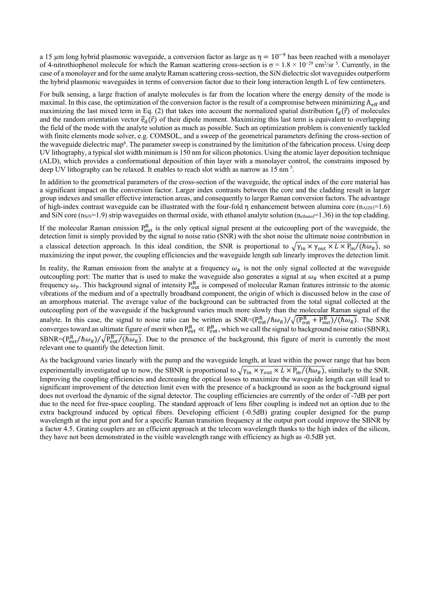a 15  $\mu$ m long hybrid plasmonic waveguide, a conversion factor as large as  $\eta = 10^{-9}$  has been reached with a monolayer of 4-nitrothiophenol molecule for which the Raman scattering cross-section is  $\sigma = 1.8 \times 10^{-29}$  cm<sup>2</sup>/sr<sup>5</sup>. Currently, in the case of a monolayer and for the same analyte Raman scattering cross-section, the SiN dielectric slot waveguides outperform the hybrid plasmonic waveguides in terms of conversion factor due to their long interaction length L of few centimeters.

For bulk sensing, a large fraction of analyte molecules is far from the location where the energy density of the mode is maximal. In this case, the optimization of the conversion factor is the result of a compromise between minimizing  $A_{\text{eff}}$  and maximizing the last mixed term in Eq. (2) that takes into account the normalized spatial distribution  $f_d(\vec{r})$  of molecules and the random orientation vector  $\vec{e}_d(\vec{r})$  of their dipole moment. Maximizing this last term is equivalent to overlapping the field of the mode with the analyte solution as much as possible. Such an optimization problem is conveniently tackled with finite elements mode solver, e.g. COMSOL, and a sweep of the geometrical parameters defining the cross-section of the waveguide dielectric map<sup>6</sup>. The parameter sweep is constrained by the limitation of the fabrication process. Using deep UV lithography, a typical slot width minimum is 150 nm for silicon photonics. Using the atomic layer deposition technique (ALD), which provides a conformational deposition of thin layer with a monolayer control, the constrains imposed by deep UV lithography can be relaxed. It enables to reach slot width as narrow as 15 nm<sup>5</sup>.

In addition to the geometrical parameters of the cross-section of the waveguide, the optical index of the core material has a significant impact on the conversion factor. Larger index contrasts between the core and the cladding result in larger group indexes and smaller effective interaction areas, and consequently to larger Raman conversion factors. The advantage of high-index contrast waveguide can be illustrated with the four-fold  $\eta$  enhancement between alumina core ( $n_{A1203}=1.6$ ) and SiN core ( $n_{\rm SiN}=1.9$ ) strip waveguides on thermal oxide, with ethanol analyte solution ( $n_{\rm ethanol}=1.36$ ) in the top cladding.

If the molecular Raman emission  $P_{out}^R$  is the only optical signal present at the outcoupling port of the waveguide, the detection limit is simply provided by the signal to noise ratio (SNR) with the shot noise the ultimate noise contribution in a classical detection approach. In this ideal condition, the SNR is proportional to  $\sqrt{\gamma_{in} \times \gamma_{out} \times L \times P_{in}/(\hbar \omega_R)}$ , so maximizing the input power, the coupling efficiencies and the waveguide length sub linearly improves the detection limit.

In reality, the Raman emission from the analyte at a frequency  $\omega_R$  is not the only signal collected at the waveguide outcoupling port: The matter that is used to make the waveguide also generates a signal at  $\omega_R$  when excited at a pump frequency  $\omega_p$ . This background signal of intensity  $P_{out}^B$  is composed of molecular Raman features intrinsic to the atomic vibrations of the medium and of a spectrally broadband component, the origin of which is discussed below in the case of an amorphous material. The average value of the background can be subtracted from the total signal collected at the outcoupling port of the waveguide if the background varies much more slowly than the molecular Raman signal of the analyte. In this case, the signal to noise ratio can be written as  $SNR = (P_{out}^R/\hbar\omega_R)/\sqrt{(P_{out}^R + P_{out}^B)/(\hbar\omega_R)}$ . The SNR converges toward an ultimate figure of merit when  $P_{out}^R \ll P_{out}^B$ , which we call the signal to background noise ratio (SBNR),  $SBNR = (P_{out}^R/\hbar\omega_R)/\sqrt{P_{out}^B/(\hbar\omega_R)}$ . Due to the presence of the background, this figure of merit is currently the most relevant one to quantify the detection limit.

As the background varies linearly with the pump and the waveguide length, at least within the power range that has been experimentally investigated up to now, the SBNR is proportional to  $\sqrt{\gamma_{in} \times \gamma_{out} \times L \times P_{in}/(\hbar \omega_R)}$ , similarly to the SNR. Improving the coupling efficiencies and decreasing the optical losses to maximize the waveguide length can still lead to significant improvement of the detection limit even with the presence of a background as soon as the background signal does not overload the dynamic of the signal detector. The coupling efficiencies are currently of the order of -7dB per port due to the need for free-space coupling. The standard approach of lens fiber coupling is indeed not an option due to the extra background induced by optical fibers. Developing efficient (-0.5dB) grating coupler designed for the pump wavelength at the input port and for a specific Raman transition frequency at the output port could improve the SBNR by a factor 4.5. Grating couplers are an efficient approach at the telecom wavelength thanks to the high index of the silicon, they have not been demonstrated in the visible wavelength range with efficiency as high as -0.5dB yet.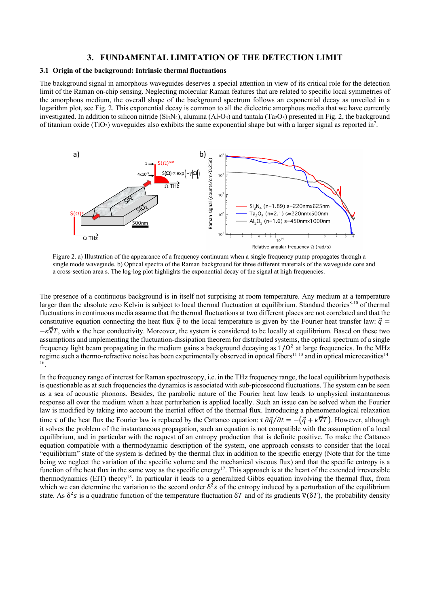### **3. FUNDAMENTAL LIMITATION OF THE DETECTION LIMIT**

### **3.1 Origin of the background: Intrinsic thermal fluctuations**

The background signal in amorphous waveguides deserves a special attention in view of its critical role for the detection limit of the Raman on-chip sensing. Neglecting molecular Raman features that are related to specific local symmetries of the amorphous medium, the overall shape of the background spectrum follows an exponential decay as unveiled in a logarithm plot, see Fig. 2. This exponential decay is common to all the dielectric amorphous media that we have currently investigated. In addition to silicon nitride (Si<sub>3</sub>N<sub>4</sub>), alumina (Al<sub>2</sub>O<sub>3</sub>) and tantala (Ta<sub>2</sub>O<sub>5</sub>) presented in Fig. 2, the background of titanium oxide (TiO<sub>2</sub>) waveguides also exhibits the same exponential shape but with a larger signal as reported in<sup>7</sup>.



Figure 2. a) Illustration of the appearance of a frequency continuum when a single frequency pump propagates through a single mode waveguide. b) Optical spectra of the Raman background for three different materials of the waveguide core and a cross-section area s. The log-log plot highlights the exponential decay of the signal at high frequencies.

The presence of a continuous background is in itself not surprising at room temperature. Any medium at a temperature larger than the absolute zero Kelvin is subject to local thermal fluctuation at equilibrium. Standard theories $8-10$  of thermal fluctuations in continuous media assume that the thermal fluctuations at two different places are not correlated and that the constitutive equation connecting the heat flux  $\vec{q}$  to the local temperature is given by the Fourier heat transfer law:  $\vec{q}$  =  $-k\vec{v}T$ , with  $\kappa$  the heat conductivity. Moreover, the system is considered to be locally at equilibrium. Based on these two assumptions and implementing the fluctuation-dissipation theorem for distributed systems, the optical spectrum of a single frequency light beam propagating in the medium gains a background decaying as  $1/\Omega^2$  at large frequencies. In the MHz regime such a thermo-refractive noise has been experimentally observed in optical fibers<sup>11-13</sup> and in optical microcavities<sup>14-</sup> 16.

In the frequency range of interest for Raman spectroscopy, i.e. in the THz frequency range, the local equilibrium hypothesis is questionable as at such frequencies the dynamics is associated with sub-picosecond fluctuations. The system can be seen as a sea of acoustic phonons. Besides, the parabolic nature of the Fourier heat law leads to unphysical instantaneous response all over the medium when a heat perturbation is applied locally. Such an issue can be solved when the Fourier law is modified by taking into account the inertial effect of the thermal flux. Introducing a phenomenological relaxation time  $\tau$  of the heat flux the Fourier law is replaced by the Cattaneo equation:  $\tau \frac{\partial \vec{q}}{\partial t} = -(\vec{q} + \kappa \vec{\nabla}T)$ . However, although it solves the problem of the instantaneous propagation, such an equation is not compatible with the assumption of a local equilibrium, and in particular with the request of an entropy production that is definite positive. To make the Cattaneo equation compatible with a thermodynamic description of the system, one approach consists to consider that the local "equilibrium" state of the system is defined by the thermal flux in addition to the specific energy (Note that for the time being we neglect the variation of the specific volume and the mechanical viscous flux) and that the specific entropy is a function of the heat flux in the same way as the specific energy<sup>17</sup>. This approach is at the heart of the extended irreversible thermodynamics (EIT) theory18. In particular it leads to a generalized Gibbs equation involving the thermal flux, from which we can determine the variation to the second order  $\delta^2 s$  of the entropy induced by a perturbation of the equilibrium state. As  $\delta^2 s$  is a quadratic function of the temperature fluctuation  $\delta T$  and of its gradients  $\nabla(\delta T)$ , the probability density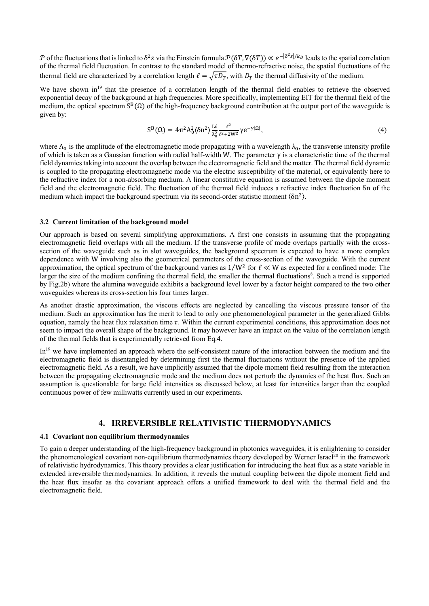P of the fluctuations that is linked to  $\delta^2 s$  via the Einstein formula  $\mathcal{P}(\delta T, \nabla(\delta T)) \propto e^{-|\delta^2 s|/k_B}$  leads to the spatial correlation of the thermal field fluctuation. In contrast to the standard model of thermo-refractive noise, the spatial fluctuations of the thermal field are characterized by a correlation length  $\ell = \sqrt{\tau D_T}$ , with  $D_T$  the thermal diffusivity of the medium.

We have shown in<sup>19</sup> that the presence of a correlation length of the thermal field enables to retrieve the observed exponential decay of the background at high frequencies. More specifically, implementing EIT for the thermal field of the medium, the optical spectrum  $S^{B}(\Omega)$  of the high-frequency background contribution at the output port of the waveguide is given by:

$$
S^{B}(\Omega) = 4\pi^{2}A_{0}^{2}\langle\delta n^{2}\rangle \frac{L\ell}{\lambda_{0}^{2}} \frac{\ell^{2}}{\ell^{2}+2W^{2}}\gamma e^{-\gamma|\Omega|}, \tag{4}
$$

where  $A_0$  is the amplitude of the electromagnetic mode propagating with a wavelength  $\lambda_0$ , the transverse intensity profile of which is taken as a Gaussian function with radial half-width W. The parameter γ is a characteristic time of the thermal field dynamics taking into account the overlap between the electromagnetic field and the matter. The thermal field dynamic is coupled to the propagating electromagnetic mode via the electric susceptibility of the material, or equivalently here to the refractive index for a non-absorbing medium. A linear constitutive equation is assumed between the dipole moment field and the electromagnetic field. The fluctuation of the thermal field induces a refractive index fluctuation δn of the medium which impact the background spectrum via its second-order statistic moment  $(\delta n^2)$ .

### **3.2 Current limitation of the background model**

Our approach is based on several simplifying approximations. A first one consists in assuming that the propagating electromagnetic field overlaps with all the medium. If the transverse profile of mode overlaps partially with the crosssection of the waveguide such as in slot waveguides, the background spectrum is expected to have a more complex dependence with W involving also the geometrical parameters of the cross-section of the waveguide. With the current approximation, the optical spectrum of the background varies as  $1/W^2$  for  $\ell \ll W$  as expected for a confined mode: The larger the size of the medium confining the thermal field, the smaller the thermal fluctuations<sup>8</sup>. Such a trend is supported by Fig.2b) where the alumina waveguide exhibits a background level lower by a factor height compared to the two other waveguides whereas its cross-section his four times larger.

As another drastic approximation, the viscous effects are neglected by cancelling the viscous pressure tensor of the medium. Such an approximation has the merit to lead to only one phenomenological parameter in the generalized Gibbs equation, namely the heat flux relaxation time  $\tau$ . Within the current experimental conditions, this approximation does not seem to impact the overall shape of the background. It may however have an impact on the value of the correlation length of the thermal fields that is experimentally retrieved from Eq.4.

In<sup>19</sup> we have implemented an approach where the self-consistent nature of the interaction between the medium and the electromagnetic field is disentangled by determining first the thermal fluctuations without the presence of the applied electromagnetic field. As a result, we have implicitly assumed that the dipole moment field resulting from the interaction between the propagating electromagnetic mode and the medium does not perturb the dynamics of the heat flux. Such an assumption is questionable for large field intensities as discussed below, at least for intensities larger than the coupled continuous power of few milliwatts currently used in our experiments.

## **4. IRREVERSIBLE RELATIVISTIC THERMODYNAMICS**

## **4.1 Covariant non equilibrium thermodynamics**

To gain a deeper understanding of the high-frequency background in photonics waveguides, it is enlightening to consider the phenomenological covariant non-equilibrium thermodynamics theory developed by Werner Israel<sup>20</sup> in the framework of relativistic hydrodynamics. This theory provides a clear justification for introducing the heat flux as a state variable in extended irreversible thermodynamics. In addition, it reveals the mutual coupling between the dipole moment field and the heat flux insofar as the covariant approach offers a unified framework to deal with the thermal field and the electromagnetic field.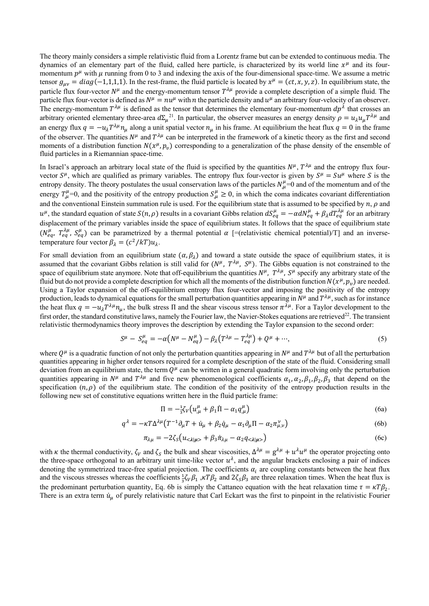The theory mainly considers a simple relativistic fluid from a Lorentz frame but can be extended to continuous media. The dynamics of an elementary part of the fluid, called here particle, is characterized by its world line  $x^{\mu}$  and its fourmomentum  $p^{\mu}$  with  $\mu$  running from 0 to 3 and indexing the axis of the four-dimensional space-time. We assume a metric tensor  $g_{\mu\nu} = diag(-1,1,1,1)$ . In the rest-frame, the fluid particle is located by  $x^{\mu} = (ct, x, y, z)$ . In equilibrium state, the particle flux four-vector  $N^{\mu}$  and the energy-momentum tensor  $T^{\lambda\mu}$  provide a complete description of a simple fluid. The particle flux four-vector is defined as  $N^{\mu} = nu^{\mu}$  with *n* the particle density and  $u^{\mu}$  an arbitrary four-velocity of an observer. The energy-momentum  $T^{\lambda\mu}$  is defined as the tensor that determines the elementary four-momentum  $dp^{\lambda}$  that crosses an arbitrary oriented elementary three-area  $d\Sigma_\mu^{21}$ . In particular, the observer measures an energy density  $\rho = u_\lambda u_\mu T^{\lambda\mu}$  and an energy flux  $q = -u_{\lambda}T^{\lambda\mu}n_{\mu}$  along a unit spatial vector  $n_{\mu}$  in his frame. At equilibrium the heat flux  $q = 0$  in the frame of the observer. The quantities  $N^{\mu}$  and  $T^{\lambda\mu}$  can be interpreted in the framework of a kinetic theory as the first and second moments of a distribution function  $N(x^{\mu}, p_{\nu})$  corresponding to a generalization of the phase density of the ensemble of fluid particles in a Riemannian space-time.

In Israel's approach an arbitrary local state of the fluid is specified by the quantities  $N^\mu$ ,  $T^{\lambda\mu}$  and the entropy flux fourvector  $S^{\mu}$ , which are qualified as primary variables. The entropy flux four-vector is given by  $S^{\mu} = S u^{\mu}$  where S is the entropy density. The theory postulates the usual conservation laws of the particles  $N^{\mu}_{,\mu}=0$  and of the momentum and of the energy  $T_{,\mu}^{\mu}=0$ , and the positivity of the entropy production  $S_{,\mu}^{\mu}\geq 0$ , in which the coma indicates covariant differentiation and the conventional Einstein summation rule is used. For the equilibrium state that is assumed to be specified by  $n, \rho$  and  $u^{\mu}$ , the standard equation of state  $S(n, \rho)$  results in a covariant Gibbs relation  $dS_{eq}^{\mu} = -\alpha dN_{eq}^{\mu} + \beta_{\lambda} dT_{eq}^{\lambda \mu}$  for an arbitrary displacement of the primary variables inside the space of equilibrium states. It follows that the space of equilibrium state  $(N_{eq}^{\mu}, T_{eq}^{\lambda\mu}, S_{eq}^{\mu})$  can be parametrized by a thermal potential  $\alpha$  [=(relativistic chemical potential)/T] and an inversetemperature four vector  $\beta_{\lambda} = (c^2/kT)u_{\lambda}$ .

For small deviation from an equilibrium state  $(\alpha, \beta_\lambda)$  and toward a state outside the space of equilibrium states, it is assumed that the covariant Gibbs relation is still valid for  $(N^\mu, T^{\lambda\mu}, S^\mu)$ . The Gibbs equation is not constrained to the space of equilibrium state anymore. Note that off-equilibrium the quantities  $N^{\mu}$ ,  $T^{\lambda\mu}$ ,  $S^{\mu}$  specify any arbitrary state of the fluid but do not provide a complete description for which all the moments of the distribution function  $N(x^{\mu}, p_{\nu})$  are needed. Using a Taylor expansion of the off-equilibrium entropy flux four-vector and imposing the positivity of the entropy production, leads to dynamical equations for the small perturbation quantities appearing in  $N^{\mu}$  and  $T^{\lambda\mu}$ , such as for instance the heat flux  $q = -u_1 T^{\lambda \mu} n_{\mu}$ , the bulk stress  $\Pi$  and the shear viscous stress tensor  $\pi^{\lambda \mu}$ . For a Taylor development to the first order, the standard constitutive laws, namely the Fourier law, the Navier-Stokes equations are retrieved<sup>22</sup>. The transient relativistic thermodynamics theory improves the description by extending the Taylor expansion to the second order:

$$
S^{\mu} - S_{eq}^{\mu} = -\alpha \left( N^{\mu} - N_{eq}^{\mu} \right) - \beta_{\lambda} \left( T^{\lambda \mu} - T_{eq}^{\lambda \mu} \right) + Q^{\mu} + \cdots,
$$
\n(5)

where  $O^{\mu}$  is a quadratic function of not only the perturbation quantities appearing in  $N^{\mu}$  and  $T^{\lambda\mu}$  but of all the perturbation quantities appearing in higher order tensors required for a complete description of the state of the fluid. Considering small deviation from an equilibrium state, the term  $Q^{\mu}$  can be written in a general quadratic form involving only the perturbation quantities appearing in  $N^{\mu}$  and  $T^{\lambda\mu}$  and five new phenomenological coefficients  $\alpha_1, \alpha_2, \beta_1, \beta_2, \beta_3$  that depend on the specification  $(n, \rho)$  of the equilibrium state. The condition of the positivity of the entropy production results in the following new set of constitutive equations written here in the fluid particle frame:

$$
\Pi = -\frac{1}{3}\zeta_V \left( u^{\mu}_{,\mu} + \beta_1 \dot{\Pi} - \alpha_1 q^{\mu}_{,\mu} \right) \tag{6a}
$$

$$
q^{\lambda} = -\kappa T \Delta^{\lambda \mu} \left( T^{-1} \partial_{\mu} T + \dot{u}_{\mu} + \beta_2 \dot{q}_{\mu} - \alpha_1 \partial_{\mu} \Pi - \alpha_2 \pi^{\nu}_{\mu, \nu} \right)
$$
(6b)

$$
\pi_{\lambda\mu} = -2\zeta_{\mathcal{S}} \left( u_{< \lambda|\mu\right)} + \beta_3 \dot{\pi}_{\lambda\mu} - \alpha_2 q_{< \lambda|\mu\right) \tag{6c}
$$

with  $\kappa$  the thermal conductivity,  $\zeta_V$  and  $\zeta_S$  the bulk and shear viscosities,  $\Delta^{\lambda\mu} = g^{\lambda\mu} + u^{\lambda}u^{\mu}$  the operator projecting onto the three-space orthogonal to an arbitrary unit time-like vector  $u^{\lambda}$ , and the angular brackets enclosing a pair of indices denoting the symmetrized trace-free spatial projection. The coefficients  $\alpha_i$  are coupling constants between the heat flux and the viscous stresses whereas the coefficients  $\frac{1}{3}\zeta_V\beta_1$ ,  $\kappa T\beta_2$  and  $2\zeta_S\beta_3$  are three relaxation times. When the heat flux is the predominant perturbation quantity, Eq. 6b is simply the Cattaneo equation with the heat relaxation time  $\tau = \kappa T \beta_2$ . There is an extra term  $\dot{u}_{\mu}$  of purely relativistic nature that Carl Eckart was the first to pinpoint in the relativistic Fourier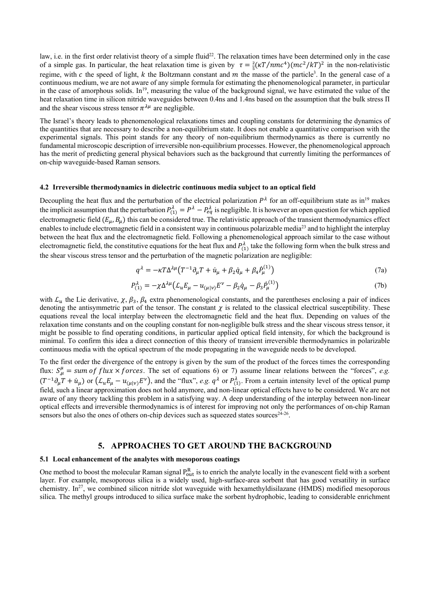law, i.e. in the first order relativist theory of a simple fluid<sup>22</sup>. The relaxation times have been determined only in the case of a simple gas. In particular, the heat relaxation time is given by  $\tau = \frac{2}{5}(\kappa T/nmc^4)(mc^2/kT)^2$  in the non-relativistic regime, with  $c$  the speed of light,  $k$  the Boltzmann constant and  $m$  the masse of the particle<sup>3</sup>. In the general case of a continuous medium, we are not aware of any simple formula for estimating the phenomenological parameter, in particular in the case of amorphous solids. In<sup>19</sup>, measuring the value of the background signal, we have estimated the value of the heat relaxation time in silicon nitride waveguides between 0.4ns and 1.4ns based on the assumption that the bulk stress Π and the shear viscous stress tensor  $\pi^{\lambda\mu}$  are negligible.

The Israel's theory leads to phenomenological relaxations times and coupling constants for determining the dynamics of the quantities that are necessary to describe a non-equilibrium state. It does not enable a quantitative comparison with the experimental signals. This point stands for any theory of non-equilibrium thermodynamics as there is currently no fundamental microscopic description of irreversible non-equilibrium processes. However, the phenomenological approach has the merit of predicting general physical behaviors such as the background that currently limiting the performances of on-chip waveguide-based Raman sensors.

### **4.2 Irreversible thermodynamics in dielectric continuous media subject to an optical field**

Decoupling the heat flux and the perturbation of the electrical polarization  $P^{\lambda}$  for an off-equilibrium state as in<sup>19</sup> makes the implicit assumption that the perturbation  $P_{(1)}^{\lambda} = P^{\lambda} - P_{eq}^{\lambda}$  is negligible. It is however an open question for which applied electromagnetic field  $(E_u, B_u)$  this can be considered true. The relativistic approach of the transient thermodynamics effect enables to include electromagnetic field in a consistent way in continuous polarizable media<sup>23</sup> and to highlight the interplay between the heat flux and the electromagnetic field. Following a phenomenological approach similar to the case without electromagnetic field, the constitutive equations for the heat flux and  $P_{(1)}^{\lambda}$  take the following form when the bulk stress and the shear viscous stress tensor and the perturbation of the magnetic polarization are negligible:

$$
q^{\lambda} = -\kappa T \Delta^{\lambda \mu} \left( T^{-1} \partial_{\mu} T + \dot{u}_{\mu} + \beta_2 \dot{q}_{\mu} + \beta_4 \dot{P}_{\mu}^{(1)} \right) \tag{7a}
$$

$$
P_{(1)}^{\lambda} = -\chi \Delta^{\lambda \mu} \left( \mathcal{L}_{\mu} E_{\mu} - u_{(\mu|\nu)} E^{\nu} - \beta_2 \dot{q}_{\mu} - \beta_3 \dot{P}_{\mu}^{(1)} \right) \tag{7b}
$$

with  $\mathcal{L}_u$  the Lie derivative,  $\chi$ ,  $\beta_3$ ,  $\beta_4$  extra phenomenological constants, and the parentheses enclosing a pair of indices denoting the antisymmetric part of the tensor. The constant  $\chi$  is related to the classical electrical susceptibility. These equations reveal the local interplay between the electromagnetic field and the heat flux. Depending on values of the relaxation time constants and on the coupling constant for non-negligible bulk stress and the shear viscous stress tensor, it might be possible to find operating conditions, in particular applied optical field intensity, for which the background is minimal. To confirm this idea a direct connection of this theory of transient irreversible thermodynamics in polarizable continuous media with the optical spectrum of the mode propagating in the waveguide needs to be developed.

To the first order the divergence of the entropy is given by the sum of the product of the forces times the corresponding flux:  $S_{\mu}^{\mu}$  = sum of flux × forces. The set of equations 6) or 7) assume linear relations between the "forces", e.g.  $(T^{-1}\partial_\mu T + \dot{u}_\mu)$  or  $(\mathcal{L}_u E_\mu - u_{(\mu|\nu)} E^\nu)$ , and the "flux", *e.g.*  $q^\lambda$  or  $P_{(1)}^\lambda$ . From a certain intensity level of the optical pump field, such a linear approximation does not hold anymore, and non-linear optical effects have to be considered. We are not aware of any theory tackling this problem in a satisfying way. A deep understanding of the interplay between non-linear optical effects and irreversible thermodynamics is of interest for improving not only the performances of on-chip Raman sensors but also the ones of others on-chip devices such as squeezed states sources $24-26$ .

## **5. APPROACHES TO GET AROUND THE BACKGROUND**

### **5.1 Local enhancement of the analytes with mesoporous coatings**

One method to boost the molecular Raman signal  $P_{out}^R$  is to enrich the analyte locally in the evanescent field with a sorbent layer. For example, mesoporous silica is a widely used, high-surface-area sorbent that has good versatility in surface chemistry. In<sup>27</sup>, we combined silicon nitride slot waveguide with hexamethyldisilazane (HMDS) modified mesoporous silica. The methyl groups introduced to silica surface make the sorbent hydrophobic, leading to considerable enrichment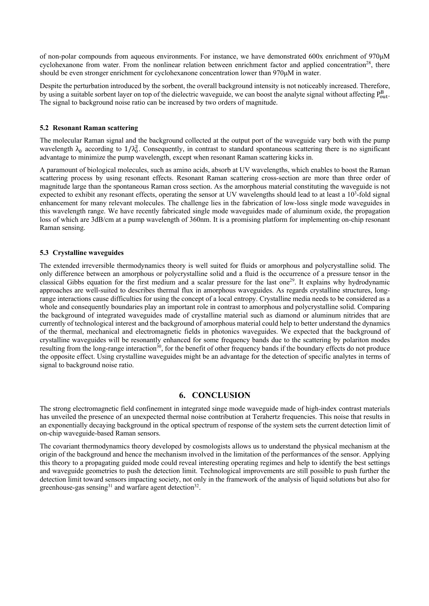of non-polar compounds from aqueous environments. For instance, we have demonstrated 600x enrichment of 970μM cyclohexanone from water. From the nonlinear relation between enrichment factor and applied concentration<sup>28</sup>, there should be even stronger enrichment for cyclohexanone concentration lower than 970μM in water.

Despite the perturbation introduced by the sorbent, the overall background intensity is not noticeably increased. Therefore, by using a suitable sorbent layer on top of the dielectric waveguide, we can boost the analyte signal without affecting  $P_{out}^B$ . The signal to background noise ratio can be increased by two orders of magnitude.

### **5.2 Resonant Raman scattering**

The molecular Raman signal and the background collected at the output port of the waveguide vary both with the pump wavelength  $\lambda_0$  according to  $1/\lambda_0^2$ . Consequently, in contrast to standard spontaneous scattering there is no significant advantage to minimize the pump wavelength, except when resonant Raman scattering kicks in.

A paramount of biological molecules, such as amino acids, absorb at UV wavelengths, which enables to boost the Raman scattering process by using resonant effects. Resonant Raman scattering cross-section are more than three order of magnitude large than the spontaneous Raman cross section. As the amorphous material constituting the waveguide is not expected to exhibit any resonant effects, operating the sensor at UV wavelengths should lead to at least a 10<sup>3</sup>-fold signal enhancement for many relevant molecules. The challenge lies in the fabrication of low-loss single mode waveguides in this wavelength range. We have recently fabricated single mode waveguides made of aluminum oxide, the propagation loss of which are 3dB/cm at a pump wavelength of 360nm. It is a promising platform for implementing on-chip resonant Raman sensing.

### **5.3 Crystalline waveguides**

The extended irreversible thermodynamics theory is well suited for fluids or amorphous and polycrystalline solid. The only difference between an amorphous or polycrystalline solid and a fluid is the occurrence of a pressure tensor in the classical Gibbs equation for the first medium and a scalar pressure for the last one<sup>29</sup>. It explains why hydrodynamic approaches are well-suited to describes thermal flux in amorphous waveguides. As regards crystalline structures, longrange interactions cause difficulties for using the concept of a local entropy. Crystalline media needs to be considered as a whole and consequently boundaries play an important role in contrast to amorphous and polycrystalline solid. Comparing the background of integrated waveguides made of crystalline material such as diamond or aluminum nitrides that are currently of technological interest and the background of amorphous material could help to better understand the dynamics of the thermal, mechanical and electromagnetic fields in photonics waveguides. We expected that the background of crystalline waveguides will be resonantly enhanced for some frequency bands due to the scattering by polariton modes resulting from the long-range interaction<sup>30</sup>, for the benefit of other frequency bands if the boundary effects do not produce the opposite effect. Using crystalline waveguides might be an advantage for the detection of specific analytes in terms of signal to background noise ratio.

## **6. CONCLUSION**

The strong electromagnetic field confinement in integrated singe mode waveguide made of high-index contrast materials has unveiled the presence of an unexpected thermal noise contribution at Terahertz frequencies. This noise that results in an exponentially decaying background in the optical spectrum of response of the system sets the current detection limit of on-chip waveguide-based Raman sensors.

The covariant thermodynamics theory developed by cosmologists allows us to understand the physical mechanism at the origin of the background and hence the mechanism involved in the limitation of the performances of the sensor. Applying this theory to a propagating guided mode could reveal interesting operating regimes and help to identify the best settings and waveguide geometries to push the detection limit. Technological improvements are still possible to push further the detection limit toward sensors impacting society, not only in the framework of the analysis of liquid solutions but also for greenhouse-gas sensing<sup>31</sup> and warfare agent detection<sup>32</sup>.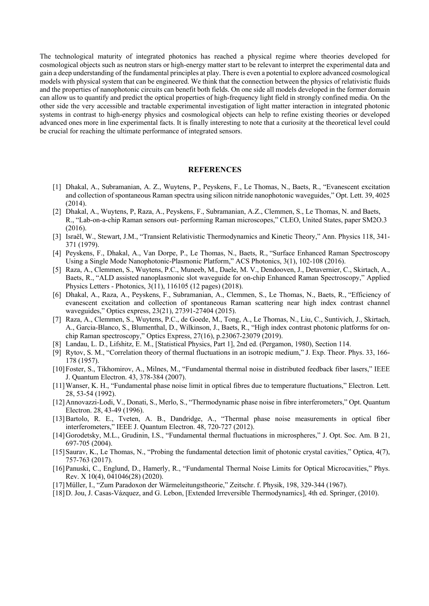The technological maturity of integrated photonics has reached a physical regime where theories developed for cosmological objects such as neutron stars or high-energy matter start to be relevant to interpret the experimental data and gain a deep understanding of the fundamental principles at play. There is even a potential to explore advanced cosmological models with physical system that can be engineered. We think that the connection between the physics of relativistic fluids and the properties of nanophotonic circuits can benefit both fields. On one side all models developed in the former domain can allow us to quantify and predict the optical properties of high-frequency light field in strongly confined media. On the other side the very accessible and tractable experimental investigation of light matter interaction in integrated photonic systems in contrast to high-energy physics and cosmological objects can help to refine existing theories or developed advanced ones more in line experimental facts. It is finally interesting to note that a curiosity at the theoretical level could be crucial for reaching the ultimate performance of integrated sensors.

### **REFERENCES**

- [1] Dhakal, A., Subramanian, A. Z., Wuytens, P., Peyskens, F., Le Thomas, N., Baets, R., "Evanescent excitation and collection of spontaneous Raman spectra using silicon nitride nanophotonic waveguides," Opt. Lett. 39, 4025 (2014).
- [2] Dhakal, A., Wuytens, P, Raza, A., Peyskens, F., Subramanian, A.Z., Clemmen, S., Le Thomas, N. and Baets, R., "Lab-on-a-chip Raman sensors out- performing Raman microscopes," CLEO, United States, paper SM2O.3 (2016).
- [3] Israël, W., Stewart, J.M., "Transient Relativistic Thermodynamics and Kinetic Theory," Ann. Physics 118, 341- 371 (1979).
- [4] Peyskens, F., Dhakal, A., Van Dorpe, P., Le Thomas, N., Baets, R., "Surface Enhanced Raman Spectroscopy Using a Single Mode Nanophotonic-Plasmonic Platform," ACS Photonics, 3(1), 102-108 (2016).
- [5] Raza, A., Clemmen, S., Wuytens, P.C., Muneeb, M., Daele, M. V., Dendooven, J., Detavernier, C., Skirtach, A., Baets, R., "ALD assisted nanoplasmonic slot waveguide for on-chip Enhanced Raman Spectroscopy," Applied Physics Letters - Photonics, 3(11), 116105 (12 pages) (2018).
- [6] Dhakal, A., Raza, A., Peyskens, F., Subramanian, A., Clemmen, S., Le Thomas, N., Baets, R., "Efficiency of evanescent excitation and collection of spontaneous Raman scattering near high index contrast channel waveguides," Optics express, 23(21), 27391-27404 (2015).
- [7] Raza, A., Clemmen, S., Wuytens, P.C., de Goede, M., Tong, A., Le Thomas, N., Liu, C., Suntivich, J., Skirtach, A., Garcia-Blanco, S., Blumenthal, D., Wilkinson, J., Baets, R., "High index contrast photonic platforms for onchip Raman spectroscopy," Optics Express, 27(16), p.23067-23079 (2019).
- [8] Landau, L. D., Lifshitz, E. M., [Statistical Physics, Part 1], 2nd ed. (Pergamon, 1980), Section 114.
- [9] Rytov, S. M., "Correlation theory of thermal fluctuations in an isotropic medium," J. Exp. Theor. Phys. 33, 166- 178 (1957).
- [10]Foster, S., Tikhomirov, A., Milnes, M., "Fundamental thermal noise in distributed feedback fiber lasers," IEEE J. Quantum Electron. 43, 378-384 (2007).
- [11]Wanser, K. H., "Fundamental phase noise limit in optical fibres due to temperature fluctuations," Electron. Lett. 28, 53-54 (1992).
- [12]Annovazzi-Lodi, V., Donati, S., Merlo, S., "Thermodynamic phase noise in fibre interferometers," Opt. Quantum Electron. 28, 43-49 (1996).
- [13]Bartolo, R. E., Tveten, A. B., Dandridge, A., "Thermal phase noise measurements in optical fiber interferometers," IEEE J. Quantum Electron. 48, 720-727 (2012).
- [14]Gorodetsky, M.L., Grudinin, I.S., "Fundamental thermal fluctuations in microspheres," J. Opt. Soc. Am. B 21, 697-705 (2004).
- [15]Saurav, K., Le Thomas, N., "Probing the fundamental detection limit of photonic crystal cavities," Optica, 4(7), 757-763 (2017).
- [16]Panuski, C., Englund, D., Hamerly, R., "Fundamental Thermal Noise Limits for Optical Microcavities," Phys. Rev. X 10(4), 041046(28) (2020).
- [17]Müller, I., "Zum Paradoxon der Wärmeleitungstheorie," Zeitschr. f. Physik, 198, 329-344 (1967).
- [18]D. Jou, J. Casas-Vázquez, and G. Lebon, [Extended Irreversible Thermodynamics], 4th ed. Springer, (2010).